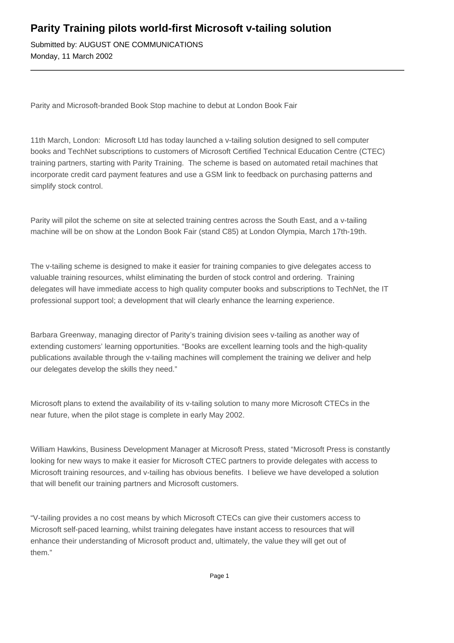## **Parity Training pilots world-first Microsoft v-tailing solution**

Submitted by: AUGUST ONE COMMUNICATIONS Monday, 11 March 2002

Parity and Microsoft-branded Book Stop machine to debut at London Book Fair

11th March, London: Microsoft Ltd has today launched a v-tailing solution designed to sell computer books and TechNet subscriptions to customers of Microsoft Certified Technical Education Centre (CTEC) training partners, starting with Parity Training. The scheme is based on automated retail machines that incorporate credit card payment features and use a GSM link to feedback on purchasing patterns and simplify stock control.

Parity will pilot the scheme on site at selected training centres across the South East, and a v-tailing machine will be on show at the London Book Fair (stand C85) at London Olympia, March 17th-19th.

The v-tailing scheme is designed to make it easier for training companies to give delegates access to valuable training resources, whilst eliminating the burden of stock control and ordering. Training delegates will have immediate access to high quality computer books and subscriptions to TechNet, the IT professional support tool; a development that will clearly enhance the learning experience.

Barbara Greenway, managing director of Parity's training division sees v-tailing as another way of extending customers' learning opportunities. "Books are excellent learning tools and the high-quality publications available through the v-tailing machines will complement the training we deliver and help our delegates develop the skills they need."

Microsoft plans to extend the availability of its v-tailing solution to many more Microsoft CTECs in the near future, when the pilot stage is complete in early May 2002.

William Hawkins, Business Development Manager at Microsoft Press, stated "Microsoft Press is constantly looking for new ways to make it easier for Microsoft CTEC partners to provide delegates with access to Microsoft training resources, and v-tailing has obvious benefits. I believe we have developed a solution that will benefit our training partners and Microsoft customers.

"V-tailing provides a no cost means by which Microsoft CTECs can give their customers access to Microsoft self-paced learning, whilst training delegates have instant access to resources that will enhance their understanding of Microsoft product and, ultimately, the value they will get out of them."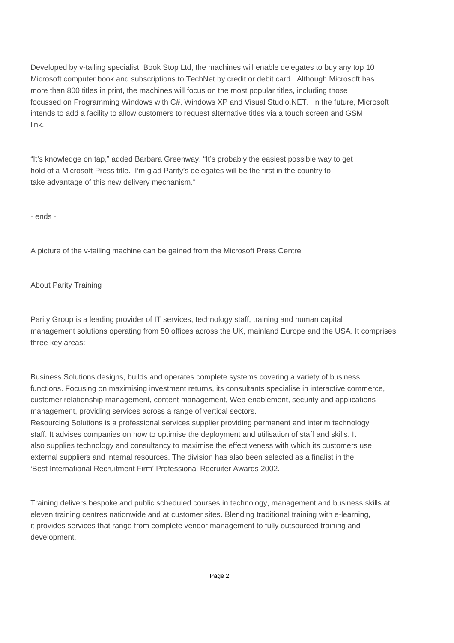Developed by v-tailing specialist, Book Stop Ltd, the machines will enable delegates to buy any top 10 Microsoft computer book and subscriptions to TechNet by credit or debit card. Although Microsoft has more than 800 titles in print, the machines will focus on the most popular titles, including those focussed on Programming Windows with C#, Windows XP and Visual Studio.NET. In the future, Microsoft intends to add a facility to allow customers to request alternative titles via a touch screen and GSM link.

"It's knowledge on tap," added Barbara Greenway. "It's probably the easiest possible way to get hold of a Microsoft Press title. I'm glad Parity's delegates will be the first in the country to take advantage of this new delivery mechanism."

- ends -

A picture of the v-tailing machine can be gained from the Microsoft Press Centre

About Parity Training

Parity Group is a leading provider of IT services, technology staff, training and human capital management solutions operating from 50 offices across the UK, mainland Europe and the USA. It comprises three key areas:-

Business Solutions designs, builds and operates complete systems covering a variety of business functions. Focusing on maximising investment returns, its consultants specialise in interactive commerce, customer relationship management, content management, Web-enablement, security and applications management, providing services across a range of vertical sectors.

Resourcing Solutions is a professional services supplier providing permanent and interim technology staff. It advises companies on how to optimise the deployment and utilisation of staff and skills. It also supplies technology and consultancy to maximise the effectiveness with which its customers use external suppliers and internal resources. The division has also been selected as a finalist in the 'Best International Recruitment Firm' Professional Recruiter Awards 2002.

Training delivers bespoke and public scheduled courses in technology, management and business skills at eleven training centres nationwide and at customer sites. Blending traditional training with e-learning, it provides services that range from complete vendor management to fully outsourced training and development.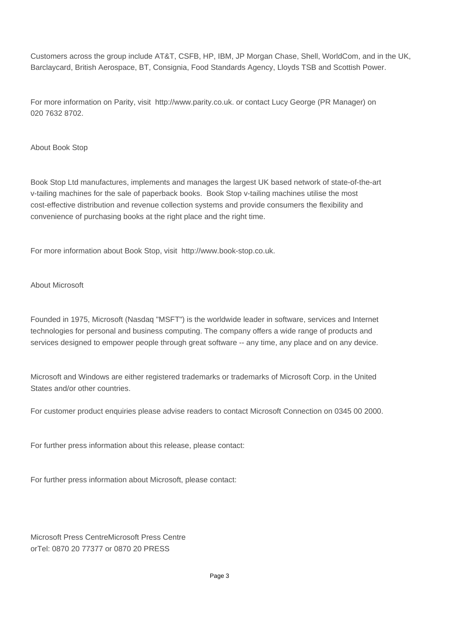Customers across the group include AT&T, CSFB, HP, IBM, JP Morgan Chase, Shell, WorldCom, and in the UK, Barclaycard, British Aerospace, BT, Consignia, Food Standards Agency, Lloyds TSB and Scottish Power.

For more information on Parity, visit http://www.parity.co.uk. or contact Lucy George (PR Manager) on 020 7632 8702.

## About Book Stop

Book Stop Ltd manufactures, implements and manages the largest UK based network of state-of-the-art v-tailing machines for the sale of paperback books. Book Stop v-tailing machines utilise the most cost-effective distribution and revenue collection systems and provide consumers the flexibility and convenience of purchasing books at the right place and the right time.

For more information about Book Stop, visit http://www.book-stop.co.uk.

## About Microsoft

Founded in 1975, Microsoft (Nasdaq "MSFT") is the worldwide leader in software, services and Internet technologies for personal and business computing. The company offers a wide range of products and services designed to empower people through great software -- any time, any place and on any device.

Microsoft and Windows are either registered trademarks or trademarks of Microsoft Corp. in the United States and/or other countries.

For customer product enquiries please advise readers to contact Microsoft Connection on 0345 00 2000.

For further press information about this release, please contact: 

For further press information about Microsoft, please contact:

Microsoft Press Centre Microsoft Press Centre or Tel: 0870 20 77377 or 0870 20 PRESS